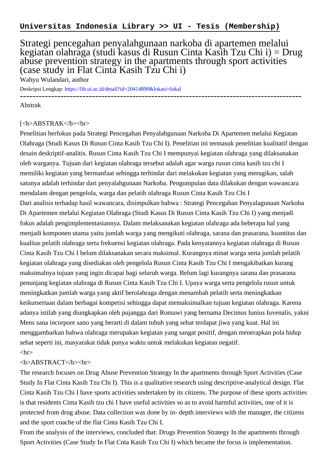## Strategi pencegahan penyalahgunaan narkoba di apartemen melalui kegiatan olahraga (studi kasus di Rusun Cinta Kasih Tzu Chi i) = Drug abuse prevention strategy in the apartments through sport activities (case study in Flat Cinta Kasih Tzu Chi i)

Wahyu Wulandari, author

Deskripsi Lengkap:<https://lib.ui.ac.id/detail?id=20414890&lokasi=lokal>

------------------------------------------------------------------------------------------

Abstrak

## [<b>ABSTRAK</b><br/>shr>

Penelitian berfokus pada Strategi Pencegahan Penyalahgunaan Narkoba Di Apartemen melalui Kegiatan Olahraga (Studi Kasus Di Rusun Cinta Kasih Tzu Chi I). Penelitian ini termasuk penelitian kualitatif dengan desain deskriptif-analitis. Rusun Cinta Kasih Tzu Chi I mempunyai kegiatan olahraga yang dilaksanakan oleh warganya. Tujuan dari kegiatan olahraga tersebut adalah agar warga rusun cinta kasih tzu chi I memiliki kegiatan yang bermanfaat sehingga terhindar dari melakukan kegiatan yang merugikan, salah satunya adalah terhindar dari penyalahgunaan Narkoba. Pengumpulan data dilakukan dengan wawancara mendalam dengan pengelola, warga dan pelatih olahraga Rusun Cinta Kasih Tzu Chi I Dari analisis terhadap hasil wawancara, disimpulkan bahwa : Strategi Pencegahan Penyalagunaan Narkoba Di Apartemen melalui Kegiatan Olahraga (Studi Kasus Di Rusun Cinta Kasih Tzu Chi I) yang menjadi fokus adalah pengimplementasiannya. Dalam melaksanakan kegiatan olahraga ada beberapa hal yang menjadi komponen utama yaitu jumlah warga yang mengikuti olahraga, sarana dan prasarana, kuantitas dan kualitas pelatih olahraga serta frekuensi kegiatan olahraga. Pada kenyatannya kegiatan olahraga di Rusun Cinta Kasih Tzu Chi I belum dilaksanakan secara maksimal. Kurangnya minat warga serta jumlah pelatih kegiatan olahraga yang disediakan oleh pengelola Rusun Cinta Kasih Tzu Chi I mengakibatkan kurang maksimalnya tujuan yang ingin dicapai bagi seluruh warga. Belum lagi kurangnya sarana dan prasarana penunjang kegiatan olahraga di Rusun Cinta Kasih Tzu Chi I. Upaya warga serta pengelola rusun untuk meningkatkan jumlah warga yang aktif berolahraga dengan menambah pelatih serta meningkatkan keikutsertaan dalam berbagai kompetisi sehingga dapat memaksimalkan tujuan kegiatan olahraga. Karena adanya istilah yang diungkapkan oleh pujangga dari Romawi yang bernama Decimus Iunius Iuvenalis, yakni Mens sana incorpore sano yang berarti di dalam tubuh yang sehat terdapat jiwa yang kuat. Hal ini menggambarkan bahwa olahraga merupakan kegiatan yang sangat positif, dengan menerapkan pola hidup sehat seperti ini, masyarakat tidak punya waktu untuk melakukan kegiatan negatif.  $\langle$ hr $>$ 

## <b>ABSTRACT</b><br>

The research focuses on Drug Abuse Prevention Strategy In the apartments through Sport Activities (Case Study In Flat Cinta Kasih Tzu Chi I). This is a qualitative research using descriptive-analytical design. Flat Cinta Kasih Tzu Chi I have sports activities undertaken by its citizens. The purpose of these sports activities is that residents Cinta Kasih tzu chi I have useful activities so as to avoid harmful activities, one of it is protected from drug abuse. Data collection was done by in- depth interviews with the manager, the citizens and the sport coache of the flat Cinta Kasih Tzu Chi I.

From the analysis of the interviews, concluded that: Drugs Prevention Strategy In the apartments through Sport Activities (Case Study In Flat Cnta Kasih Tzu Chi I) which became the focus is implementation.